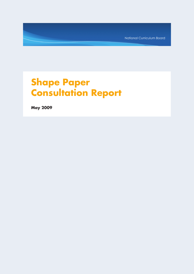National Curriculum Board

# **Shape Paper Consultation Report**

**May 2009**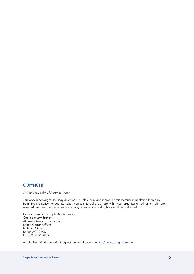## **COPYRIGHT**

© Commonwealth of Australia 2009

This work is copyright. You may download, display, print and reproduce this material in unaltered form only (retaining this notice) for your personal, non-commercial use or use within your organisation. All other rights are reserved. Requests and inquiries concerning reproduction and rights should be addressed to:

Commonwealth Copyright Administration Copyright Law Branch Attorney-General's Department Robert Garran Offices National Circuit Barton ACT 2600 Fax: 02 6250 5989

or submitted via the copyright request form on the website http://www.ag.gov.au/cca.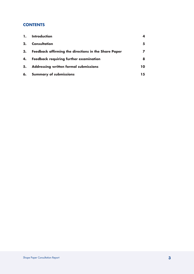# **CONTENTS**

| 1. | Introduction                                                |    |
|----|-------------------------------------------------------------|----|
| 2. | <b>Consultation</b>                                         |    |
| 3. | <b>Feedback affirming the directions in the Share Paper</b> |    |
| 4. | <b>Feedback requiring further examination</b>               |    |
| 5. | <b>Addressing written formal submissions</b>                | 10 |
|    | 6. Summary of submissions                                   | 15 |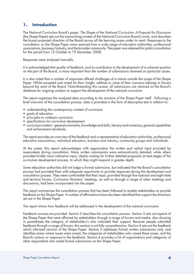## **1. Introduction**

The National Curriculum Board's paper, *The Shape of the National Curriculum: A Proposal for Discussion*  (the Shape Paper) sets out the overarching context of the National Curriculum Board's work, and describes the broad proposed direction of the Board across all the learning areas under its remit. Responses to the consultation on the Shape Paper were received from a wide range of education authorities, professional associations, business/industry, and the broader community. The paper was released for public consultation for the period from 12 October to 19 December, 2008.

Responses were analysed manually.

It is acknowledged that quality of feedback, and its contribution to the development of a coherent position on the part of the Board, is more important than the number of submissions received on particular issues.

It is also noted that a number of responses offered challenges of a nature outside the scope of the Shape Paper. Whilst accepted and noted for their insight, address to some of their concerns belongs in forums beyond the remit of the Board. Notwithstanding this caveat, all submissions are retained on the Board's database for ongoing analysis to support the development of the national curriculum.

The report organises the analysed data according to the structure of the Shape Paper itself. Following a brief overview of the consultation process, data is provided in the form of descriptive text in relation to:

- understanding the contemporary context of curriculum
- goals of education
- principles to underpin curriculum
- specifications for curriculum development
- • curriculum content general comments, knowledge and skills, literacy and numeracy, general capabilities and achievement standards.

The report provides an overview of the feedback and is representative of education authorities, professional education associations, individual educators, business and industry, community groups and individuals.

At the outset, this report acknowledges with appreciation the written and verbal input provided by respondents during consultation. Many written submissions were extraordinarily detailed, while others provided briefer more indicative input, clearly waiting for further detailed proposals at next stages of the curriculum development process, to which they might respond in greater depth.

Some education authorities did not lodge a formal submission, but indicated that the Board's consultation process had provided them with adequate opportunity to provide responses during the development and consultation process. They were comfortable that their input, provided through five national and eight state and territory forums, Curriculum Directors' meetings, as well as through a range of other meetings and discussions, had been incorporated into the paper.

The report summarises the consultation process that has been followed to enable stakeholders to provide feedback on the Shape Paper. A number of affirmations have also been identified that support the directions set out in the Shape Paper.

The report shows how feedback will be addressed in the development of the national curriculum.

Feedback sources are provided. Section 2 describes the consultation process. Section 3 sets out aspects of the Shape Paper that were affirmed by stakeholders through a range of forums and media, also showing in parentheses the category of stakeholder/s who indicated their support. Because people submitted feedback through a range of forums, this section is not fully comprehensive. Section 4 sets out the feedback which informed revision of the Shape Paper. Section 5 addresses formal written submissions only, and identifies areas where issues were raised, the categories of stakeholders who raised these issues, and the Board's actions or response to the feedback. Section 6 provides a list of organisations and categories of other respondents who made formal submissions on the Shape Paper.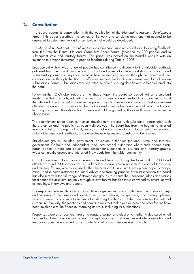## **2. Consultation**

The Board began its consultation with the publication of the *National Curriculum Development Paper*. This paper described the context of its work and set down questions that needed to be answered to determine the kind of curriculum that would be developed.

The *Shape of the National Curriculum: A Proposal for Discussion* was developed following feedback from the 'Into the Future: National Curriculum Board Forum' (attended by 200 people) and in subsequent state and territory forums. This paper was posted on the Board's website with an invitation to anyone interested to provide feedback during Term 4, 2008.

Engagement with a wide range of people has contributed significantly to the valuable feedback gathered from the consultation period. This included notes taken from workshops at national and state/territory forums; surveys completed at these meetings or received through the Board's website; correspondence through the Board's office or website feedback mechanism; and formal written submissions. Formal submissions received after the official closing date have also been entered into the data.

Following the 12 October release of the Shape Paper, the Board conducted further forums and meetings with individuals, education experts and groups to draw feedback and comments about the intended directions put forward in the paper. The October national forums in Melbourne were attended by around 600 people to discuss the development of national curriculum across the four learning areas, with the advice that discussion should be guided by the overall context set out in the Shape Paper.

The commitment to an open curriculum development process with substantial consultation with the profession and the public has been well-received. The Board has from the beginning invested in a consultation strategy that is dynamic, so that each stage of consultation builds on previous stakeholder input and feedback, and generates new issues and questions to be resolved.

Stakeholder groups included government, education authorities (national, state and territory, government, Catholic and Independent, and local school authorities where such bodies exist), parent bodies, professional educational associations, academics, business and industry groups, wider community groups and interested individuals from the wider community.

Consultation forums took place in every state and territory during the latter half of 2008 and attracted around 900 participants. All stakeholder groups were represented in each of those state and territory forums, which discussed either the National Curriculum Development paper or Shape Paper (and in some instances the initial advice and framing papers). From its inception the Board has also met with the full range of stakeholder groups to discuss their concerns, ideas and visions for a national curriculum, not only through its own forums but also those convened by others, as well as meetings, interviews and panels.

The responses received through participants' engagement in forums, both through workshop surveys and in terms of the issues and ideas raised in workshops, by speakers, and through plenary sessions, were and continue to be crucial in shaping the thinking of the directions for the national curriculum. Similarly, the meetings and conversations that took place in these and other forums have been invaluable to the Board in informing its work, including its publications.

Responses were also received through a range of paper and electronic media. A dedicated email box feedback@ncb.org.au was set up to accept responses, and a secure website consultation and feedback system was created for respondents to attach submissions electronically.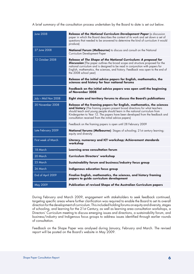A brief summary of the consultation process undertaken by the Board to date is set out below.

| <b>June 2008</b>    | Release of the National Curriculum Development Paper (a discussion<br>paper in which the Board describes the context of its work and set down a set of<br>questions that needed to be answered to determine the kind of curriculum it would<br>produce)                                                                                                                    |
|---------------------|----------------------------------------------------------------------------------------------------------------------------------------------------------------------------------------------------------------------------------------------------------------------------------------------------------------------------------------------------------------------------|
| 27 June 2008        | National Forum (Melbourne) to discuss and consult on the National<br>Curriculum Development Paper                                                                                                                                                                                                                                                                          |
| 12 October 2008     | Release of The Shape of the National Curriculum: A proposal for<br>Discussion (The paper outlines the broad scope and structure proposed for the<br>national curriculum and is designed to be read in conjunction with papers for<br>English, mathematics, the sciences, and history. Feedback was open to the end of<br>the 2008 school year)                             |
|                     | Release of the initial advice papers for English, mathematics, the<br>sciences and history for four national forums                                                                                                                                                                                                                                                        |
|                     | Feedback on the initial advice papers was open until the beginning<br>of November 2008                                                                                                                                                                                                                                                                                     |
| July - Mid Nov 2008 | Eight state and territory forums to discuss the Board's publications                                                                                                                                                                                                                                                                                                       |
| 20 November 2008    | Release of the framing papers for English, mathematics, the sciences<br>and history (The framing papers present broad directions for what teachers<br>should teach and young people should learn in the national curriculum from<br>Kindergarten to Year 12. The papers have been developed from the feedback and<br>consultation received from the initial advice papers) |
|                     | Feedback on the framing papers is open until 28 February 2009                                                                                                                                                                                                                                                                                                              |
| Late February 2009  | National forums (Melbourne): Stages of schooling; 21st century learning;<br>equity and diversity                                                                                                                                                                                                                                                                           |
| First week of March | Literacy, numeracy and ICT workshop; Achievement standards<br>workshop                                                                                                                                                                                                                                                                                                     |
| 18 March            | Learning area consultation forum                                                                                                                                                                                                                                                                                                                                           |
| 20 March            | <b>Curriculum Directors' workshop</b>                                                                                                                                                                                                                                                                                                                                      |
| 25 March            | Sustainability forum and business/industry focus group                                                                                                                                                                                                                                                                                                                     |
| 26 March            | Indigenous education focus group                                                                                                                                                                                                                                                                                                                                           |
| End of April 2009   | Finalise English, mathematics, the sciences, and history framing<br>papers to guide curriculum development                                                                                                                                                                                                                                                                 |
| May 2009            | Publication of revised Shape of the Australian Curriculum papers                                                                                                                                                                                                                                                                                                           |

During February and March 2009, engagement with stakeholders to seek feedback continued, targeting specific areas where further clarification was required to enable the Board to set its overall direction for the development of curriculum. This included holding forums on equity and diversity, stages of schooling, and learning for the 21st Century, as well as learning area consultation workshops, a Directors' Curriculum meeting to discuss emerging issues and directions, a sustainability forum, and business/industry and Indigenous focus groups to address issues identified through earlier rounds of consultation.

Feedback on the Shape Paper was analysed during January, February and March. The revised report will be posted on the Board's website in May 2009.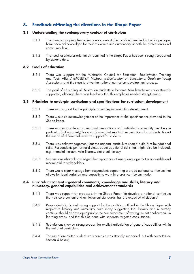# **3. Feedback affirming the directions in the Shape Paper**

## **3.1 Understanding the contemporary context of curriculum**

- 3.1.1 The changes shaping the contemporary context of education identified in the Shape Paper have been acknowledged for their relevance and authenticity at both the professional and community level.
- 3.1.2 The need for a futures orientation identified in the Shape Paper has been strongly supported by stakeholders.

### **3.2 Goals of education**

- 3.2.1 There was support for the Ministerial Council for Education, Employment, Training and Youth Affairs' (MCEETYA) *Melbourne Declaration on Educational Goals for Young Australians*, and their use to drive the national curriculum development process.
- 3.2.2 The goal of educating all Australian students to become Asia literate was also strongly supported, although there was feedback that this emphasis needed strengthening.

## **3.3 Principles to underpin curriculum and specifications for curriculum development**

- 3.3.1 There was support for the principles to underpin curriculum development.
- 3.3.2 There was also acknowledgement of the importance of the specifications provided in the Shape Paper.
- 3.3.3 There was support from professional associations and individual community members in particular (but not solely) for a curriculum that sets high expectations for all students and the notion of differential levels of support for students.
- 3.3.4 There was acknowledgement that the national curriculum should build firm foundational skills. Respondents put forward views about additional skills that might also be included, e.g. financial literacy, Asia literacy, statistical literacy.
- 3.3.5 Submissions also acknowledged the importance of using language that is accessible and meaningful to stakeholders.
- 3.3.6 There was a clear message from respondents supporting a broad national curriculum that allows for local variation and capacity to work in a cross-curriculum mode.

#### **3.4 Curriculum content – general comments, knowledge and skills, literacy and numeracy, general capabilities and achievement standards**

- 3.4.1 There was support for proposals in the Shape Paper "to develop a national curriculum that sets core content and achievement standards that are expected of students".
- 3.4.2 Respondents indicated strong support for the position outlined in the Shape Paper with respect to literacy and numeracy, with many suggesting that literacy and numeracy continua should be developed prior to the commencement of writing the national curriculum learning areas, and that this be done with separate targeted consultation.
- 3.4.3 Submissions showed strong support for explicit articulation of general capabilities within the national curriculum.
- 3.4.4 The use of annotated student work samples was strongly supported, but with caveats (see section 4 below).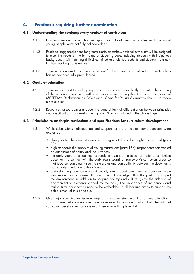## **4. Feedback requiring further examination**

#### **4.1 Understanding the contemporary context of curriculum**

- 4.1.1 Concerns were expressed that the importance of local curriculum context and diversity of young people were not fully acknowledged.
- 4.1.2 Feedback suggested a need for greater clarity about how national curriculum will be designed to meet the needs of the full range of student groups, including students with Indigenous backgrounds, with learning difficulties, gifted and talented students and students from non-English speaking backgrounds.
- 4.1.3 There was concern that a vision statement for the national curriculum to inspire teachers has not yet been fully promulgated.

## **4.2 Goals of education**

- 4.2.1 There was support for making equity and diversity more explicitly present in the shaping of the national curriculum, with one response suggesting that the inclusivity aspect of MCEETYA's Declaration on *Educational Goals for Young Australians* should be made more explicit.
- 4.2.2 Responses raised concerns about the general lack of differentiation between principles and specifications for development (para 13 a-j) as outlined in the Shape Paper.

## **4.3 Principles to underpin curriculum and specifications for curriculum development**

- 4.3.1 While submissions indicated general support for the principles, some concerns were expressed:
	- clarity for teachers and students regarding what should be taught and learned (para 13a)
	- high standards that apply to all young Australians (para 13b): respondents commented on dimensions of equity and inclusiveness
	- the early years of schooling: respondents asserted the need for national curriculum documents to connect with the Early Years Learning Framework's curriculum areas so that teachers can clearly see the synergies and compatibility between the documents, particularly in relation to the K-2 years
	- understanding how culture and society are shaped over time: a consistent view was evident in responses. It should be acknowledged that the past has shaped the environment, in addition to shaping society and culture. (Note the addition of environment to elements shaped by the past.) The importance of Indigenous and multicultural perspectives need to be embedded in all learning areas to support the achievement of this principle.
- 4.3.2 One major specification issue emerging from submissions was that of time allocations. This is an area where some formal decisions need to be made to inform both the national curriculum development process and those who will implement it.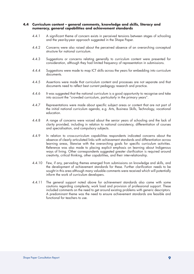#### **4.4 Curriculum content – general comments, knowledge and skills, literacy and numeracy, general capabilities and achievement standards**

- 4.4.1 A significant theme of concern exists in perceived tensions between stages of schooling and the year-by-year approach suggested in the Shape Paper.
- 4.4.2 Concerns were also raised about the perceived absence of an overarching conceptual structure for national curriculum.
- 4.4.3 Suggestions or concerns relating generally to curriculum content were presented for consideration, although they had limited frequency of representation in submissions.
- 4.4.4 Suggestions were made to map ICT skills across the years for embedding into curriculum documents.
- 4.4.5 Assertions were made that curriculum content and processes are not separate and that documents need to reflect best current pedagogy research and practice.
- 4.4.6 It was suggested that the national curriculum is a good opportunity to recognise and take into account the "crowded curriculum, particularly in the primary years".
- 4.4.7 Representations were made about specific subject areas or content that are not part of the initial national curriculum agenda, e.g. Arts, Business Skills, Technology, vocational education.
- 4.4.8 A range of concerns were voiced about the senior years of schooling and the lack of clarity provided, including in relation to national consistency, differentiation of courses and specialisation, and compulsory subjects.
- 4.4.9 In relation to cross-curriculum capabilities respondents indicated concerns about the absence of clearly articulated links with achievement standards and differentiation across learning areas, likewise with the overarching goals for specific curriculum activities. Reference was also made to placing explicit emphasis on learning about Indigenous ways of living. Other correspondents suggested greater clarification is required around creativity, critical thinking, other capabilities, and their inter-relationship.
- 4.4.10 Few, if any, pervading themes emerged from submissions on knowledge and skills, and the development of achievement standards for these. Further clarification needs to be sought in this area although many valuable comments were received which will potentially inform the work of curriculum developers.
- 4.4.11 The general support noted above for achievement standards also came with some cautions regarding complexity, work load and provision of professional support. These included comments on the need to get around existing problems with generic descriptors. A predominant theme was the need to ensure achievement standards are feasible and functional for teachers to use.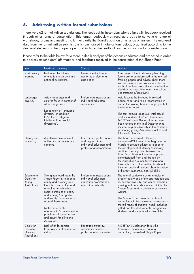# **5. Addressing written formal submissions**

There were 62 formal written submissions. The feedback in these submissions aligns with feedback received through other forms of consultation. This formal feedback was used as a basis to convene a range of workshops, forums and meetings to further clarify the Board's position on a range of matters. The analysed data from the formal written submissions is summarised in tabular form below, organised according to the structural elements of the Shape Paper, and includes the feedback source and action for consideration.

Please refer to the table below for a more in-depth analysis of the actions conducted and proposed in order to address stakeholders' affirmations and feedback received in the consultation of the Shape Paper.

| Item                                                     | Feedback summary                                                                                                                                                                                                                                                                                                                                                                             | Source                                                                                                          | Actions                                                                                                                                                                                                                                                                                                                                                                                                                                                               |
|----------------------------------------------------------|----------------------------------------------------------------------------------------------------------------------------------------------------------------------------------------------------------------------------------------------------------------------------------------------------------------------------------------------------------------------------------------------|-----------------------------------------------------------------------------------------------------------------|-----------------------------------------------------------------------------------------------------------------------------------------------------------------------------------------------------------------------------------------------------------------------------------------------------------------------------------------------------------------------------------------------------------------------------------------------------------------------|
| 21st century<br>learning                                 | Nature of the futures<br>orientation to be built into<br>national curriculum.                                                                                                                                                                                                                                                                                                                | Government education<br>authority, professional<br>association                                                  | Outcomes of the 21st century learning<br>forum are to be addressed in the revised<br>framing papers and advice about them<br>will be provided to curriculum writers in<br>each of the four areas (inclusion of ethical<br>decision making, Asia focus, intercultural<br>understanding/sensitivity).                                                                                                                                                                   |
| Languages,<br>diversity                                  | Asian languages and<br>cultures focus in content of<br>all learning areas.<br>Recognition of "linguistic<br>diversity" in addition<br>to "cultural, religious,<br>intellectual and social<br>diversities".                                                                                                                                                                                   | Professional associations,<br>individual educators,<br>community                                                | Asia focus to be included in revised<br>Shape Paper and to be incorporated in<br>curriculum writing briefs as appropriate to<br>the learning area.<br>The text 'cultural, religious, intellectual<br>and social diversities' was taken from<br><b>MCEETYA's draft Declaration and was</b><br>been revised in the final Declaration to<br>include religious diversity in the context of<br>promoting young Australians' active and<br>informed citizenship.            |
| Literacy and<br>numeracy                                 | Accelerate development<br>of literacy and numeracy<br>continua.                                                                                                                                                                                                                                                                                                                              | <b>Educational professionals</b><br>and organisations,<br>individual educators and<br>professional associations | The Board convened a literacy/<br>numeracy/ICT forum at the beginning of<br>March to provide advice in relation to<br>the development of literacy/numeracy<br>continua. Participants discussed the<br>Board's achievement standards papers,<br>commissioned from and drafted by<br>the Australian Council for Educational<br>Research. Curriculum writing briefs will<br>include specific directions about inclusion<br>of literacy, numeracy and ICT skills.         |
| Educational<br>Goals for<br>Young<br><b>Australians</b>  | Strengthen wording in the<br>Shape Paper in relation to<br>equity and diversity and<br>the role of curriculum and<br>schooling in achieving<br>social outcomes of equity<br>and valuing/recognition<br>of diversity. Provide clarity<br>around these areas.<br>Make more explicit<br>reference to "commitment to<br>principles of social justice<br>and equity for all young<br>Australians. | Professional associations,<br>individual educators,<br>education professionals,<br>education authority          | The role of curriculum as an enabler of<br>greater equity and of the appreciation and<br>respect for diversity, and ethical decision<br>making will be made more explicit in the<br>Shape Paper and in advice to curriculum<br>writers.<br>The Shape Paper states that national<br>curriculum will be developed to respond to<br>the full range of students' need, including<br>gifted and talented students, Indigenous<br>students, and students with disabilities. |
| Goals for<br>Education<br>of Young<br><b>Australians</b> | Lack of philosophical<br>framework or statement of<br>vision.                                                                                                                                                                                                                                                                                                                                | Education authority,<br>community members,<br>professional organisation                                         | MCEETYA's Declaration forms the<br>framework or vision for national<br>curriculum; the revised Shape Paper.                                                                                                                                                                                                                                                                                                                                                           |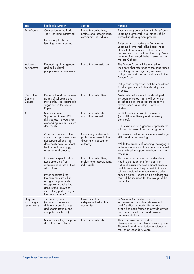| Item                                                                                                            | Feedback summary                                                                                                                                                                      | Source                                                                                    | <b>Actions</b>                                                                                                                                                                                                                        |
|-----------------------------------------------------------------------------------------------------------------|---------------------------------------------------------------------------------------------------------------------------------------------------------------------------------------|-------------------------------------------------------------------------------------------|---------------------------------------------------------------------------------------------------------------------------------------------------------------------------------------------------------------------------------------|
| <b>Early Years</b>                                                                                              | Connection to the Early<br>Years Learning framework.                                                                                                                                  | Education authorities,<br>professional associations,<br>community individuals             | Ensure strong connection with Early Years<br>Learning Framework in all stages of the<br>curriculum development process.                                                                                                               |
|                                                                                                                 | Notion of play-based<br>learning in early years.                                                                                                                                      |                                                                                           | Refer curriculum writers to Early Years<br>Learning Framework. (The Shape Paper<br>states that national curriculum should<br>connect with and build on the Early Years<br>Learning Framework being developed for<br>the pre-K phase). |
| Indigenous<br><b>Embedding of Indigenous</b><br>and multicultural<br>perspective<br>perspectives in curriculum. |                                                                                                                                                                                       | <b>Education professionals</b>                                                            | The Shape Paper will be revised to<br>include further reference to the importance<br>of valuing and recognising Australia's<br>Indigenous past, present and future in the<br>Shape Paper.                                             |
|                                                                                                                 |                                                                                                                                                                                       |                                                                                           | Indigenous perspectives will be considered<br>in all stages of curriculum development<br>process.                                                                                                                                     |
| Curriculum<br>Content –<br>General                                                                              | Perceived tensions between<br>stages of schooling and<br>the year-by-year approach<br>suggested in the Shape<br>Paper.                                                                | Education authorities                                                                     | National curriculum will be developed<br>by years of schooling. It will be written<br>so schools can group according to the<br>diverse needs and interests of their<br>students.                                                      |
| ICT                                                                                                             | Specific comments:<br>Suggestion to map ICT<br>skills across the years for<br>embedding into curriculum                                                                               | Education authorities,<br>education professional                                          | An ICT continuum will be developed<br>(in addition to literacy and numeracy<br>continua).                                                                                                                                             |
|                                                                                                                 | documents.                                                                                                                                                                            |                                                                                           | ICT is taken to be a general capability that<br>will be addressed in all learning areas.                                                                                                                                              |
|                                                                                                                 | Assertion that curriculum<br>content and processes are<br>not separated and that                                                                                                      | Community (individual),<br>professional association,<br>Government education<br>authority | Curriculum content will include knowledge,<br>skills, and understanding.                                                                                                                                                              |
|                                                                                                                 | documents need to reflect<br>best current pedagogy<br>research and practice.                                                                                                          |                                                                                           | While the process of teaching (pedagogy)<br>is the responsibility of teachers, advice will<br>be provided to support teachers' work in<br>key areas.                                                                                  |
|                                                                                                                 | One major specification<br>issue emerging from<br>submissions is that of time<br>allocations.                                                                                         | Education authorities,<br>professional associations,<br>individuals                       | This is an area where formal decisions<br>need to be made to inform both the<br>national curriculum development process<br>and those who will implement it. Advice                                                                    |
|                                                                                                                 | It was suggested that<br>the national curriculum<br>is a good opportunity to<br>recognise and take into<br>account the "crowded<br>curriculum, particularly in<br>the primary years". |                                                                                           | will be provided to writers that includes<br>specitic details regarding time allocations<br>that will be included for the design of the<br>curriculum.                                                                                |
| Stages of<br>schooling –<br>senior years                                                                        | The senior years<br>(national consistency,<br>differentiation of courses<br>and specialisation, and<br>compulsory subjects).                                                          | Government and<br>independent education<br>authorities                                    | A National Curriculum Board /<br>Australasian Curriculum, Assessment<br>and Certification Authorities working<br>group has been formed to provide advice<br>on senior school issues and provide<br>recommendations.                   |
|                                                                                                                 | Senior Schooling – separate<br>disciplines for science.                                                                                                                               | Education authority                                                                       | This issue was considered in the<br>development of the science framing paper.<br>There will be differentiation in science in<br>the senior secondary years.                                                                           |
|                                                                                                                 |                                                                                                                                                                                       |                                                                                           |                                                                                                                                                                                                                                       |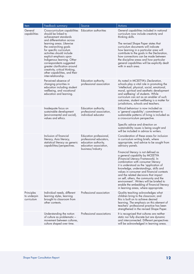| ltem                                    | Feedback summary                                                                                                                                                                                                                                                                                                                                                                                                                       | Source                                                                                                                    | <b>Actions</b>                                                                                                                                                                                                                                                                                                                                                                                                                                                                                                                                                                                                                                                   |
|-----------------------------------------|----------------------------------------------------------------------------------------------------------------------------------------------------------------------------------------------------------------------------------------------------------------------------------------------------------------------------------------------------------------------------------------------------------------------------------------|---------------------------------------------------------------------------------------------------------------------------|------------------------------------------------------------------------------------------------------------------------------------------------------------------------------------------------------------------------------------------------------------------------------------------------------------------------------------------------------------------------------------------------------------------------------------------------------------------------------------------------------------------------------------------------------------------------------------------------------------------------------------------------------------------|
| General<br>capabilities                 | Cross-curriculum capabilities<br>should be linked to<br>achievement standards<br>and differentiation across<br>learning areas. Likewise<br>the overarching goals<br>for specific curriculum<br>activities should include<br>explicit emphasis upon<br>Indigenous learning. Other<br>correspondents suggested<br>greater clarification around<br>creativity, critical thinking,<br>other capabilities, and their<br>inter-relationship. | Education authorities                                                                                                     | General capabilities included in national<br>curriculum now include creativity and<br>thinking skills.<br>The revised Shape Paper states that<br>curriculum documents will indicate<br>how learning in a particular area will<br>contribute to the goals in the Declaration,<br>how connections can be made between<br>the discipline areas and how particular<br>general capabilities will be explicitly dealt<br>with in each area.                                                                                                                                                                                                                            |
|                                         | Perceived absence of<br>changing priorities in<br>education including student<br>wellbeing, and vocational<br>education and learning.                                                                                                                                                                                                                                                                                                  | Education authority,<br>professional association                                                                          | As noted in MCEETYA's Declaration,<br>schools play a vital role in promoting the<br>'intellectual, physical, social, emotional,<br>moral, spiritual and aesthetic development<br>and wellbeing' of students. While<br>curriculum can act as an enabler of such<br>outcomes, student wellbeing is a matter for<br>jurisdictions, schools and teachers.                                                                                                                                                                                                                                                                                                            |
|                                         | Inadequate focus on<br>sustainable development<br>(environmental and social),<br>values and ethics.                                                                                                                                                                                                                                                                                                                                    | Education authority,<br>professional association,<br>individual educator                                                  | Ethical behaviour is now included as<br>a 'general capability'; commitment to<br>sustainable patterns of living is included as<br>a cross-curriculum perspective.<br>Specific advice and direction on<br>sustainability issues is being sought and<br>will be included in advice to writers.                                                                                                                                                                                                                                                                                                                                                                     |
|                                         | Inclusion of financial<br>literacy, Asia literacy,<br>statistical literacy as generic<br>capabilities/perspectives.                                                                                                                                                                                                                                                                                                                    | Education professional,<br>professional educators,<br>education authority,<br>education association,<br>business/industry | Consideration of these areas for inclusion<br>in curriculum writing briefs, where<br>appropriate, and advice to be sought from<br>advisory panels.<br>Financial literacy is not defined as<br>a general capability by MCEETYA<br>(Financial Literacy Framework). In<br>combination with consumer literacy<br>it is understood as the 'application of<br>knowledge, understandings, skills and<br>values in consumer and financial contexts<br>and the related decisions that impact<br>on self, others, the community and the<br>environment'. Writers will be briefed to<br>enable the embedding of financial literacy<br>in learning areas, where appropriate. |
| Principles<br>to underpin<br>curriculum | Individual needs, different<br>learning styles, learning<br>brought to classroom from<br>other contexts.                                                                                                                                                                                                                                                                                                                               | Professional association                                                                                                  | Quality teaching acknowledges what<br>children bring to the classroom; and<br>this is built on to achieve desired<br>learning. The emphasis on this element of<br>teachers' professional practice has been<br>strengthened in the revised Shape Paper.                                                                                                                                                                                                                                                                                                                                                                                                           |
|                                         | Understanding the notion<br>of culture as problematic -<br>movement between cultures,<br>culture shaped over time.                                                                                                                                                                                                                                                                                                                     | Professional associations                                                                                                 | It is recognised that cultures are neither<br>static nor fully discrete but are dynamic<br>and interconnected. Different perspectives<br>will be acknowledged in learning areas.                                                                                                                                                                                                                                                                                                                                                                                                                                                                                 |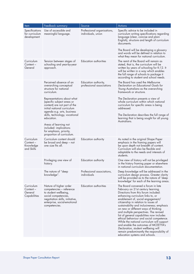| Item                                               | Feedback summary                                                                                                                                                                        | Source                                            | <b>Actions</b>                                                                                                                                                                                                                                                                                                                                                                                                                                                                                                                                                                                                                                                           |
|----------------------------------------------------|-----------------------------------------------------------------------------------------------------------------------------------------------------------------------------------------|---------------------------------------------------|--------------------------------------------------------------------------------------------------------------------------------------------------------------------------------------------------------------------------------------------------------------------------------------------------------------------------------------------------------------------------------------------------------------------------------------------------------------------------------------------------------------------------------------------------------------------------------------------------------------------------------------------------------------------------|
| Specifications<br>for curriculum<br>development    | Use of accessible and<br>meaningful language.                                                                                                                                           | Professional organisations,<br>individuals, union | Specific advice to be included in<br>curriculum writing specifications regarding<br>language (clear, concise and plain<br>English), structure and length of curriculum<br>documents.<br>The Board will be developing a glossary                                                                                                                                                                                                                                                                                                                                                                                                                                          |
|                                                    |                                                                                                                                                                                         |                                                   | and words will be defined in relation to<br>what they mean for national curriculum.                                                                                                                                                                                                                                                                                                                                                                                                                                                                                                                                                                                      |
| Curriculum<br>Content-<br>General                  | Tension between stages of<br>schooling and year-by-year<br>approach.                                                                                                                    | <b>Education authorities</b>                      | The remit of the Board will remain as<br>stated, that is, the curriculum will be<br>written by years of schooling for K-12. It<br>will be written in a way which enables<br>the full range of schools to package it<br>according to student and school needs.                                                                                                                                                                                                                                                                                                                                                                                                            |
|                                                    | Perceived absence of an<br>overarching conceptual<br>structure for national<br>curriculum.                                                                                              | Education authority,<br>professional associations | The Board has used the Melbourne<br>Declaration on Educational Goals for<br>Young Australians as the overarching<br>framework or structure.                                                                                                                                                                                                                                                                                                                                                                                                                                                                                                                              |
|                                                    | Representations about what<br>(specific subject areas or<br>content) are not part of the<br>initial national curriculum                                                                 |                                                   | The Declaration presents a view of<br>whole curriculum within which national<br>curriculum for specific areas is being<br>addressed.                                                                                                                                                                                                                                                                                                                                                                                                                                                                                                                                     |
|                                                    | agenda e.g. arts, business<br>skills, technology, vocational<br>education.                                                                                                              |                                                   | The Declaration describes the full range of<br>learning that is being sought for all young<br>Australians.                                                                                                                                                                                                                                                                                                                                                                                                                                                                                                                                                               |
|                                                    | Areas of learning not<br>included: implications<br>for emphasis, priority,<br>proportion of curriculum.                                                                                 |                                                   |                                                                                                                                                                                                                                                                                                                                                                                                                                                                                                                                                                                                                                                                          |
| Curriculum<br>Content –<br>Knowledge<br>and Skills | Curriculum content should<br>be broad and deep – not<br>one size fits all.                                                                                                              | Education authority                               | As noted in the original Shape Paper<br>emphasis in the framing papers will<br>be upon depth not breadth of content.<br>Curriculum will also be flexible and<br>adaptable to the needs and interests of<br>students.                                                                                                                                                                                                                                                                                                                                                                                                                                                     |
|                                                    | Privileging one view of<br>history.                                                                                                                                                     | Education authority                               | One view of history will not be privileged<br>in the history framing paper or elsewhere<br>in national curriculum documentation.                                                                                                                                                                                                                                                                                                                                                                                                                                                                                                                                         |
|                                                    | The nature of "deep<br>knowledge".                                                                                                                                                      | Professional associations,<br>individuals         | Deep knowledge will be addressed in the<br>curriculum design process. Greater clarity<br>will be provided as to the nature of 'deep<br>knowledge' for each of the learning areas.                                                                                                                                                                                                                                                                                                                                                                                                                                                                                        |
| Curriculum<br>Content –<br>General<br>Capabilities | Nature of higher order<br>competencies - reference<br>to student wellbeing,<br>social competencies,<br>negotiation skills, initiative,<br>enterprise, social-emotional<br>competencies. | <b>Education authorities</b>                      | The Board convened a forum in late<br>February on 21st century learning.<br>Directions from this forum included:<br>enhancing curriculum links to, or<br>enablement of, social engagement/<br>citizenship in relation to issues of<br>sustainability and inclusiveness; emphasis<br>on new or different ways of thinking<br>and multiple perspectives. The revised<br>list of general capabilities now includes<br>ethical behaviour and social competence.<br>While the national curriculum will support<br>and enable the outcomes of MCEETYA's<br>Declaration, student wellbeing will<br>remain predominantly the responsibility of<br>education systems and schools. |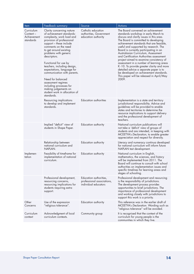| <b>Item</b>                                         | Feedback summary                                                                                                                                                                                                                                                                                                                                                                                                                                                                                         | Source                                                                       | <b>Actions</b>                                                                                                                                                                                                                                                                                                                                                                                                                                                                                                                                                                                                                                               |
|-----------------------------------------------------|----------------------------------------------------------------------------------------------------------------------------------------------------------------------------------------------------------------------------------------------------------------------------------------------------------------------------------------------------------------------------------------------------------------------------------------------------------------------------------------------------------|------------------------------------------------------------------------------|--------------------------------------------------------------------------------------------------------------------------------------------------------------------------------------------------------------------------------------------------------------------------------------------------------------------------------------------------------------------------------------------------------------------------------------------------------------------------------------------------------------------------------------------------------------------------------------------------------------------------------------------------------------|
| Curriculum<br>Content –<br>Achievement<br>standards | Clarity concerning nature<br>of achievement standards:<br>complexity, work load and<br>provision of professional<br>support – these include<br>comments on the need<br>to get around existing<br>problems with generic<br>descriptors.<br>Functional for use by<br>teachers, including design,<br>expectations, language for<br>communication with parents.<br>Need for balanced<br>assessment regimes<br>including processes for<br>making judgements on<br>student work in allocation of<br>standards. | Catholic education<br>authorities, Government<br>education authority         | The Board convened an achievement<br>standards workshop in early March to<br>discuss and clarify issues in this area.<br>The Board is committed to developing<br>achievement standards that are feasible,<br>useful and supported by research. The<br>Board is currently participating in an<br>Australasian Curriculum, Assessment<br>and Certification Authorities assessment<br>project aimed to examine consistency of<br>assessment in a number of learning areas<br>K-10. To provide greater clarity and more<br>detailed advice a separate paper is to<br>be developed on achievement standards.<br>This paper will be released in April/May<br>2009. |
|                                                     | Resourcing implications<br>to develop and implement<br>standards.                                                                                                                                                                                                                                                                                                                                                                                                                                        | <b>Education authorities</b>                                                 | Implementation is a state and territory<br>jurisdictional responsibility. Advice and<br>guidelines will be provided to enable<br>states and territories to determine the<br>resource implications to support delivery<br>and the professional development of<br>teachers.                                                                                                                                                                                                                                                                                                                                                                                    |
|                                                     | Implied "deficit" view of<br>students in Shape Paper.                                                                                                                                                                                                                                                                                                                                                                                                                                                    | Education authority                                                          | National curriculum publications will<br>not take a 'deficit' view of groups of<br>students and are intended, in keeping with<br>MCEETYA's Declaration, to enable greater<br>appreciation and respect for diversity.                                                                                                                                                                                                                                                                                                                                                                                                                                         |
|                                                     | Relationship between<br>national curriculum and<br>NAPLAN.                                                                                                                                                                                                                                                                                                                                                                                                                                               | Education authority                                                          | Literacy and numeracy continua developed<br>for national curriculum will inform future<br>NAPLAN test development.                                                                                                                                                                                                                                                                                                                                                                                                                                                                                                                                           |
| Implemen-<br>tation                                 | Feasibility of timeframe for<br>implementation of national<br>curriculum.                                                                                                                                                                                                                                                                                                                                                                                                                                | Education authority                                                          | National curriculum in English,<br>mathematics, the sciences, and history<br>will be implemented from 2011. The<br>Board will continue to consult with school<br>authorities on implementation issues and<br>specific timelines for learning areas and<br>stages of schooling.                                                                                                                                                                                                                                                                                                                                                                               |
|                                                     | Professional development,<br>resourcing concerns,<br>resourcing implications for<br>students requiring extra<br>support.                                                                                                                                                                                                                                                                                                                                                                                 | Education authorities,<br>professional associations,<br>individual educators | Professional development and resourcing<br>is the responsibility of jurisdictions.<br>The development process provides<br>opportunities to brief jurisdictions. The<br>importance of professional development<br>and working closely with jurisdictions to<br>support this work is a priority.                                                                                                                                                                                                                                                                                                                                                               |
| Other<br>Concerns                                   | Use of the expression<br>"religious tolerance".                                                                                                                                                                                                                                                                                                                                                                                                                                                          | Education authority                                                          | This reference was in the earlier draft of<br>MCEETYA's Declaration. Wording such as<br>"religious tolerance" will be avoided.                                                                                                                                                                                                                                                                                                                                                                                                                                                                                                                               |
| Curriculum<br>context                               | Acknowledgment of local<br>curriculum contexts.                                                                                                                                                                                                                                                                                                                                                                                                                                                          | Community group                                                              | It is recognised that the context of the<br>curriculum for young people is the<br>communities in which they live.                                                                                                                                                                                                                                                                                                                                                                                                                                                                                                                                            |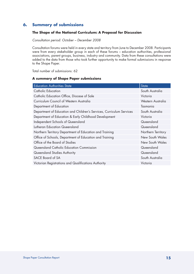# **6. Summary of submissions**

## **The Shape of the National Curriculum: A Proposal for Discussion**

*Consultation period: October – December 2008*

Consultation forums were held in every state and territory from June to December 2008. Participants were from every stakeholder group in each of these forums - education authorities, professional associations, parent groups, business, industry and community. Data from these consultations were added to the data from those who took further opportunity to make formal submissions in response to the Shape Paper.

Total number of submissions: 62

#### **A summary of Shape Paper submissions**

| <b>Education Authorities State</b>                                   | <b>State</b>       |
|----------------------------------------------------------------------|--------------------|
| Catholic Education                                                   | South Australia    |
| Catholic Education Office, Diocese of Sale                           | Victoria           |
| Curriculum Council of Western Australia                              | Western Australia  |
| Department of Education                                              | Tasmania           |
| Department of Education and Children's Services, Curriculum Services | South Australia    |
| Department of Education & Early Childhood Development                | Victoria           |
| Independent Schools of Queensland                                    | Queensland         |
| Lutheran Education Queensland                                        | Queensland         |
| Northern Territory Department of Education and Training              | Northern Territory |
| Office of Schools, Department of Education and Training              | New South Wales    |
| Office of the Board of Studies                                       | New South Wales    |
| Queensland Catholic Education Commission                             | Queensland         |
| Queensland Studies Authority                                         | Queensland         |
| SACE Board of SA                                                     | South Australia    |
| Victorian Registrations and Qualifications Authority                 | Victoria           |